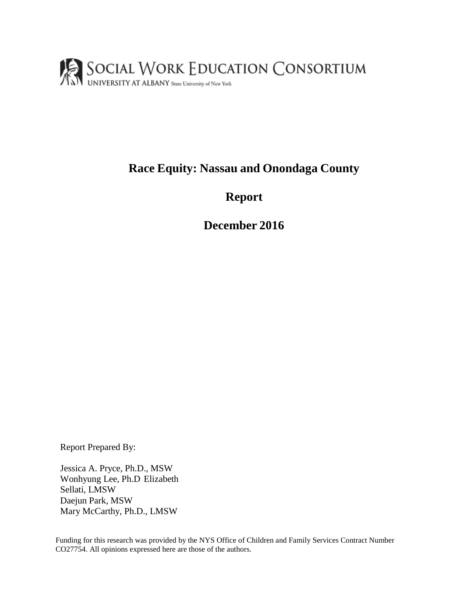

## **Race Equity: Nassau and Onondaga County**

**Report**

**December 2016**

Report Prepared By:

Jessica A. Pryce, Ph.D., MSW Wonhyung Lee, Ph.D Elizabeth Sellati, LMSW Daejun Park, MSW Mary McCarthy, Ph.D., LMSW

Funding for this research was provided by the NYS Office of Children and Family Services Contract Number CO27754. All opinions expressed here are those of the authors.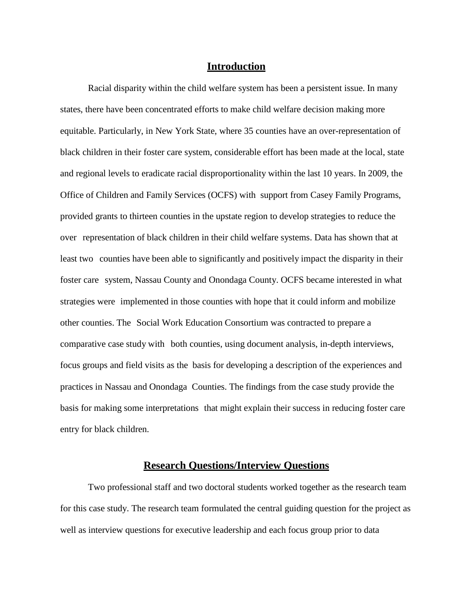#### **Introduction**

Racial disparity within the child welfare system has been a persistent issue. In many states, there have been concentrated efforts to make child welfare decision making more equitable. Particularly, in New York State, where 35 counties have an over-representation of black children in their foster care system, considerable effort has been made at the local, state and regional levels to eradicate racial disproportionality within the last 10 years. In 2009, the Office of Children and Family Services (OCFS) with support from Casey Family Programs, provided grants to thirteen counties in the upstate region to develop strategies to reduce the over representation of black children in their child welfare systems. Data has shown that at least two counties have been able to significantly and positively impact the disparity in their foster care system, Nassau County and Onondaga County. OCFS became interested in what strategies were implemented in those counties with hope that it could inform and mobilize other counties. The Social Work Education Consortium was contracted to prepare a comparative case study with both counties, using document analysis, in-depth interviews, focus groups and field visits as the basis for developing a description of the experiences and practices in Nassau and Onondaga Counties. The findings from the case study provide the basis for making some interpretations that might explain their success in reducing foster care entry for black children.

#### **Research Questions/Interview Questions**

Two professional staff and two doctoral students worked together as the research team for this case study. The research team formulated the central guiding question for the project as well as interview questions for executive leadership and each focus group prior to data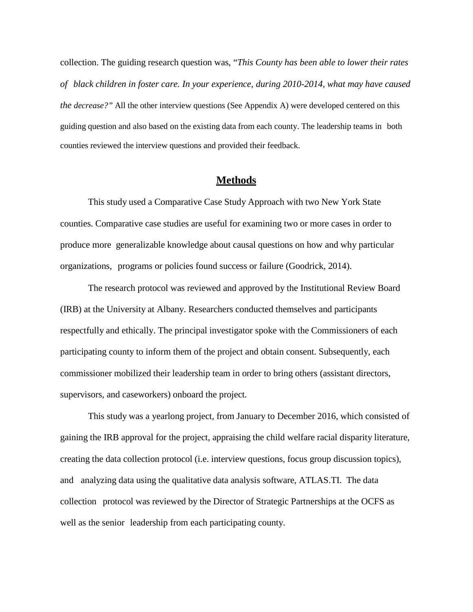collection. The guiding research question was, "*This County has been able to lower their rates of black children in foster care. In your experience, during 2010-2014, what may have caused the decrease?"* All the other interview questions (See Appendix A) were developed centered on this guiding question and also based on the existing data from each county. The leadership teams in both counties reviewed the interview questions and provided their feedback.

## **Methods**

This study used a Comparative Case Study Approach with two New York State counties. Comparative case studies are useful for examining two or more cases in order to produce more generalizable knowledge about causal questions on how and why particular organizations, programs or policies found success or failure (Goodrick, 2014).

The research protocol was reviewed and approved by the Institutional Review Board (IRB) at the University at Albany. Researchers conducted themselves and participants respectfully and ethically. The principal investigator spoke with the Commissioners of each participating county to inform them of the project and obtain consent. Subsequently, each commissioner mobilized their leadership team in order to bring others (assistant directors, supervisors, and caseworkers) onboard the project.

This study was a yearlong project, from January to December 2016, which consisted of gaining the IRB approval for the project, appraising the child welfare racial disparity literature, creating the data collection protocol (i.e. interview questions, focus group discussion topics), and analyzing data using the qualitative data analysis software, ATLAS.TI. The data collection protocol was reviewed by the Director of Strategic Partnerships at the OCFS as well as the senior leadership from each participating county.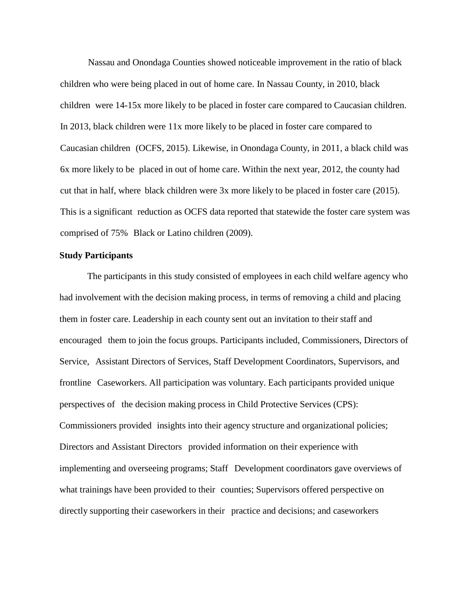Nassau and Onondaga Counties showed noticeable improvement in the ratio of black children who were being placed in out of home care. In Nassau County, in 2010, black children were 14-15x more likely to be placed in foster care compared to Caucasian children. In 2013, black children were 11x more likely to be placed in foster care compared to Caucasian children (OCFS, 2015). Likewise, in Onondaga County, in 2011, a black child was 6x more likely to be placed in out of home care. Within the next year, 2012, the county had cut that in half, where black children were 3x more likely to be placed in foster care (2015). This is a significant reduction as OCFS data reported that statewide the foster care system was comprised of 75% Black or Latino children (2009).

#### **Study Participants**

The participants in this study consisted of employees in each child welfare agency who had involvement with the decision making process, in terms of removing a child and placing them in foster care. Leadership in each county sent out an invitation to their staff and encouraged them to join the focus groups. Participants included, Commissioners, Directors of Service, Assistant Directors of Services, Staff Development Coordinators, Supervisors, and frontline Caseworkers. All participation was voluntary. Each participants provided unique perspectives of the decision making process in Child Protective Services (CPS): Commissioners provided insights into their agency structure and organizational policies; Directors and Assistant Directors provided information on their experience with implementing and overseeing programs; Staff Development coordinators gave overviews of what trainings have been provided to their counties; Supervisors offered perspective on directly supporting their caseworkers in their practice and decisions; and caseworkers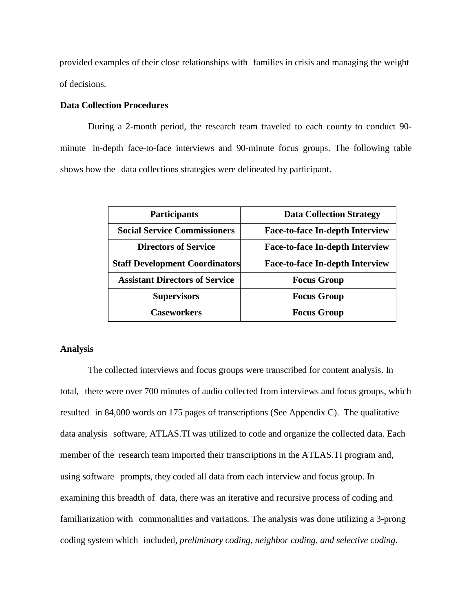provided examples of their close relationships with families in crisis and managing the weight of decisions.

#### **Data Collection Procedures**

During a 2-month period, the research team traveled to each county to conduct 90 minute in-depth face-to-face interviews and 90-minute focus groups. The following table shows how the data collections strategies were delineated by participant.

| <b>Participants</b>                   | <b>Data Collection Strategy</b>        |
|---------------------------------------|----------------------------------------|
| <b>Social Service Commissioners</b>   | <b>Face-to-face In-depth Interview</b> |
| <b>Directors of Service</b>           | <b>Face-to-face In-depth Interview</b> |
| <b>Staff Development Coordinators</b> | <b>Face-to-face In-depth Interview</b> |
| <b>Assistant Directors of Service</b> | <b>Focus Group</b>                     |
| <b>Supervisors</b>                    | <b>Focus Group</b>                     |
| <b>Caseworkers</b>                    | <b>Focus Group</b>                     |

#### **Analysis**

The collected interviews and focus groups were transcribed for content analysis. In total, there were over 700 minutes of audio collected from interviews and focus groups, which resulted in 84,000 words on 175 pages of transcriptions (See Appendix C). The qualitative data analysis software, ATLAS.TI was utilized to code and organize the collected data. Each member of the research team imported their transcriptions in the ATLAS.TI program and, using software prompts, they coded all data from each interview and focus group. In examining this breadth of data, there was an iterative and recursive process of coding and familiarization with commonalities and variations. The analysis was done utilizing a 3-prong coding system which included, *preliminary coding, neighbor coding, and selective coding.*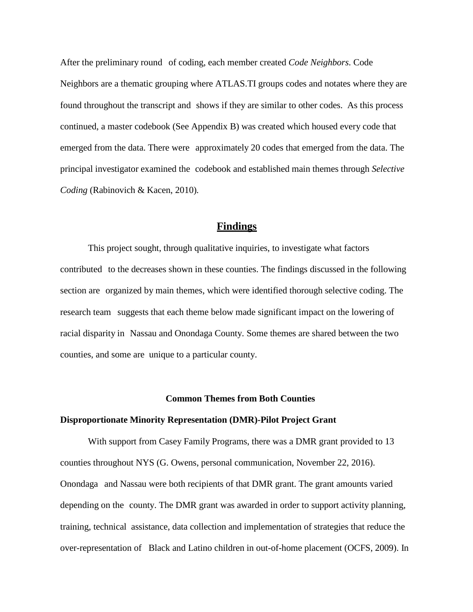After the preliminary round of coding, each member created *Code Neighbors*. Code Neighbors are a thematic grouping where ATLAS.TI groups codes and notates where they are found throughout the transcript and shows if they are similar to other codes. As this process continued, a master codebook (See Appendix B) was created which housed every code that emerged from the data. There were approximately 20 codes that emerged from the data. The principal investigator examined the codebook and established main themes through *Selective Coding* (Rabinovich & Kacen, 2010)*.*

#### **Findings**

This project sought, through qualitative inquiries, to investigate what factors contributed to the decreases shown in these counties. The findings discussed in the following section are organized by main themes, which were identified thorough selective coding. The research team suggests that each theme below made significant impact on the lowering of racial disparity in Nassau and Onondaga County. Some themes are shared between the two counties, and some are unique to a particular county.

#### **Common Themes from Both Counties**

#### **Disproportionate Minority Representation (DMR)-Pilot Project Grant**

With support from Casey Family Programs, there was a DMR grant provided to 13 counties throughout NYS (G. Owens, personal communication, November 22, 2016). Onondaga and Nassau were both recipients of that DMR grant. The grant amounts varied depending on the county. The DMR grant was awarded in order to support activity planning, training, technical assistance, data collection and implementation of strategies that reduce the over-representation of Black and Latino children in out-of-home placement (OCFS, 2009). In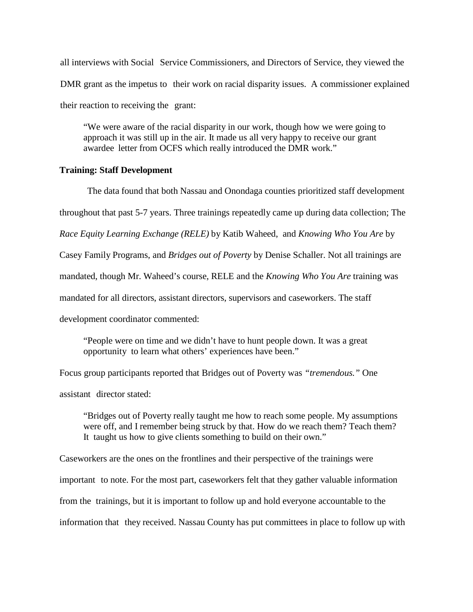all interviews with Social Service Commissioners, and Directors of Service, they viewed the DMR grant as the impetus to their work on racial disparity issues. A commissioner explained their reaction to receiving the grant:

"We were aware of the racial disparity in our work, though how we were going to approach it was still up in the air. It made us all very happy to receive our grant awardee letter from OCFS which really introduced the DMR work."

#### **Training: Staff Development**

The data found that both Nassau and Onondaga counties prioritized staff development throughout that past 5-7 years. Three trainings repeatedly came up during data collection; The *Race Equity Learning Exchange (RELE)* by Katib Waheed, and *Knowing Who You Are* by Casey Family Programs, and *Bridges out of Poverty* by Denise Schaller. Not all trainings are mandated, though Mr. Waheed's course, RELE and the *Knowing Who You Are* training was mandated for all directors, assistant directors, supervisors and caseworkers. The staff development coordinator commented:

"People were on time and we didn't have to hunt people down. It was a great opportunity to learn what others' experiences have been."

Focus group participants reported that Bridges out of Poverty was *"tremendous."* One assistant director stated:

"Bridges out of Poverty really taught me how to reach some people. My assumptions were off, and I remember being struck by that. How do we reach them? Teach them? It taught us how to give clients something to build on their own."

Caseworkers are the ones on the frontlines and their perspective of the trainings were important to note. For the most part, caseworkers felt that they gather valuable information from the trainings, but it is important to follow up and hold everyone accountable to the information that they received. Nassau County has put committees in place to follow up with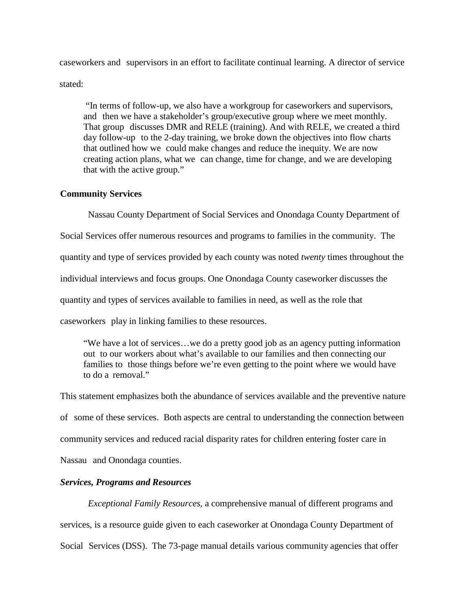caseworkers and supervisors in an effort to facilitate continual learning. A director of service

stated:

"In terms of follow-up, we also have a workgroup for caseworkers and supervisors, and then we have a stakeholder's group/executive group where we meet monthly. That group discusses DMR and RELE (training). And with RELE, we created a third day follow-up to the 2-day training, we broke down the objectives into flow charts that outlined how we could make changes and reduce the inequity. We are now creating action plans, what we can change, time for change, and we are developing that with the active group."

#### **Community Services**

Nassau County Department of Social Services and Onondaga County Department of

Social Services offer numerous resources and programs to families in the community. The

quantity and type of services provided by each county was noted *twenty* times throughout the

individual interviews and focus groups. One Onondaga County caseworker discusses the

quantity and types of services available to families in need, as well as the role that

caseworkers play in linking families to these resources.

"We have a lot of services…we do a pretty good job as an agency putting information out to our workers about what's available to our families and then connecting our families to those things before we're even getting to the point where we would have to do a removal."

This statement emphasizes both the abundance of services available and the preventive nature of some of these services. Both aspects are central to understanding the connection between community services and reduced racial disparity rates for children entering foster care in Nassau and Onondaga counties.

## *Services, Programs and Resources*

*Exceptional Family Resources*, a comprehensive manual of different programs and services, is a resource guide given to each caseworker at Onondaga County Department of Social Services (DSS). The 73-page manual details various community agencies that offer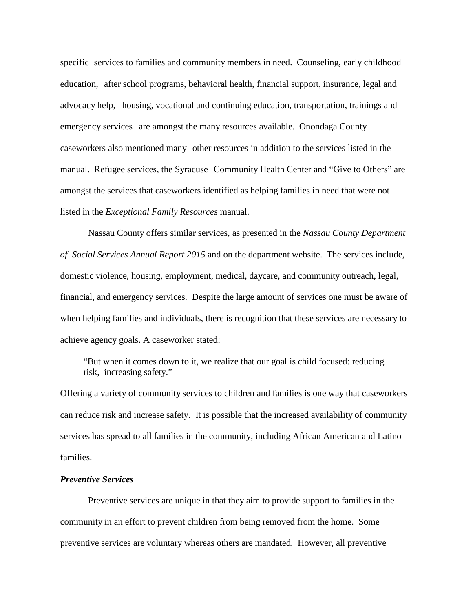specific services to families and community members in need. Counseling, early childhood education, after school programs, behavioral health, financial support, insurance, legal and advocacy help, housing, vocational and continuing education, transportation, trainings and emergency services are amongst the many resources available. Onondaga County caseworkers also mentioned many other resources in addition to the services listed in the manual. Refugee services, the Syracuse Community Health Center and "Give to Others" are amongst the services that caseworkers identified as helping families in need that were not listed in the *Exceptional Family Resources* manual.

Nassau County offers similar services, as presented in the *Nassau County Department of Social Services Annual Report 2015* and on the department website. The services include, domestic violence, housing, employment, medical, daycare, and community outreach, legal, financial, and emergency services. Despite the large amount of services one must be aware of when helping families and individuals, there is recognition that these services are necessary to achieve agency goals. A caseworker stated:

"But when it comes down to it, we realize that our goal is child focused: reducing risk, increasing safety."

Offering a variety of community services to children and families is one way that caseworkers can reduce risk and increase safety. It is possible that the increased availability of community services has spread to all families in the community, including African American and Latino families.

#### *Preventive Services*

Preventive services are unique in that they aim to provide support to families in the community in an effort to prevent children from being removed from the home. Some preventive services are voluntary whereas others are mandated. However, all preventive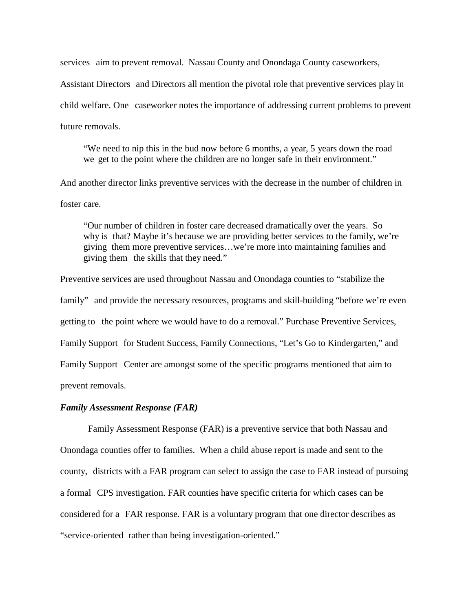services aim to prevent removal. Nassau County and Onondaga County caseworkers, Assistant Directors and Directors all mention the pivotal role that preventive services play in child welfare. One caseworker notes the importance of addressing current problems to prevent future removals.

"We need to nip this in the bud now before 6 months, a year, 5 years down the road we get to the point where the children are no longer safe in their environment."

And another director links preventive services with the decrease in the number of children in foster care.

"Our number of children in foster care decreased dramatically over the years. So why is that? Maybe it's because we are providing better services to the family, we're giving them more preventive services…we're more into maintaining families and giving them the skills that they need."

Preventive services are used throughout Nassau and Onondaga counties to "stabilize the family" and provide the necessary resources, programs and skill-building "before we're even getting to the point where we would have to do a removal." Purchase Preventive Services, Family Support for Student Success, Family Connections, "Let's Go to Kindergarten," and Family Support Center are amongst some of the specific programs mentioned that aim to prevent removals.

#### *Family Assessment Response (FAR)*

Family Assessment Response (FAR) is a preventive service that both Nassau and Onondaga counties offer to families. When a child abuse report is made and sent to the county, districts with a FAR program can select to assign the case to FAR instead of pursuing a formal CPS investigation. FAR counties have specific criteria for which cases can be considered for a FAR response. FAR is a voluntary program that one director describes as "service-oriented rather than being investigation-oriented."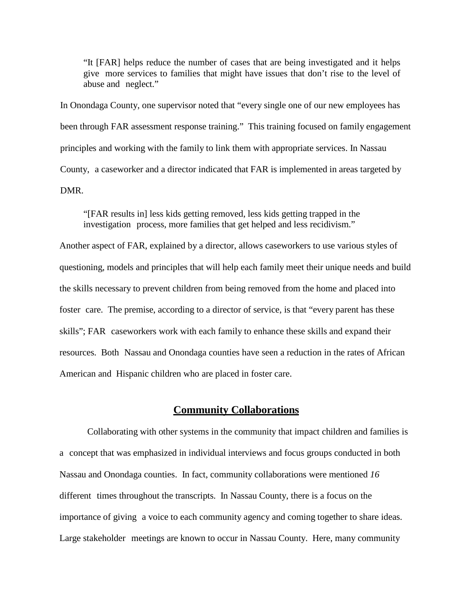"It [FAR] helps reduce the number of cases that are being investigated and it helps give more services to families that might have issues that don't rise to the level of abuse and neglect."

In Onondaga County, one supervisor noted that "every single one of our new employees has been through FAR assessment response training." This training focused on family engagement principles and working with the family to link them with appropriate services. In Nassau County, a caseworker and a director indicated that FAR is implemented in areas targeted by DMR.

"[FAR results in] less kids getting removed, less kids getting trapped in the investigation process, more families that get helped and less recidivism."

Another aspect of FAR, explained by a director, allows caseworkers to use various styles of questioning, models and principles that will help each family meet their unique needs and build the skills necessary to prevent children from being removed from the home and placed into foster care. The premise, according to a director of service, is that "every parent has these skills"; FAR caseworkers work with each family to enhance these skills and expand their resources. Both Nassau and Onondaga counties have seen a reduction in the rates of African American and Hispanic children who are placed in foster care.

#### **Community Collaborations**

Collaborating with other systems in the community that impact children and families is a concept that was emphasized in individual interviews and focus groups conducted in both Nassau and Onondaga counties. In fact, community collaborations were mentioned *16*  different times throughout the transcripts. In Nassau County, there is a focus on the importance of giving a voice to each community agency and coming together to share ideas. Large stakeholder meetings are known to occur in Nassau County. Here, many community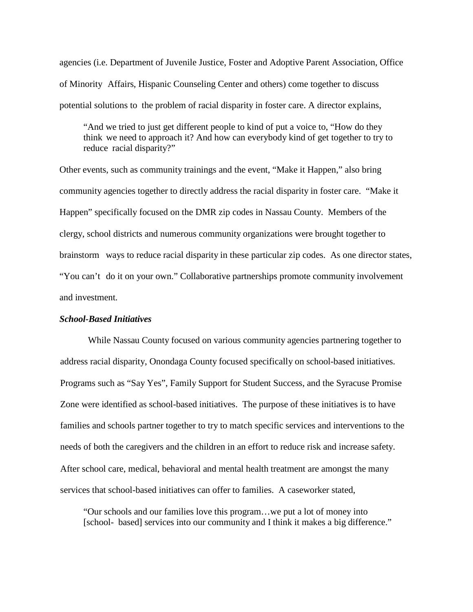agencies (i.e. Department of Juvenile Justice, Foster and Adoptive Parent Association, Office of Minority Affairs, Hispanic Counseling Center and others) come together to discuss potential solutions to the problem of racial disparity in foster care. A director explains,

"And we tried to just get different people to kind of put a voice to, "How do they think we need to approach it? And how can everybody kind of get together to try to reduce racial disparity?"

Other events, such as community trainings and the event, "Make it Happen," also bring community agencies together to directly address the racial disparity in foster care. "Make it Happen" specifically focused on the DMR zip codes in Nassau County. Members of the clergy, school districts and numerous community organizations were brought together to brainstorm ways to reduce racial disparity in these particular zip codes. As one director states, "You can't do it on your own." Collaborative partnerships promote community involvement and investment.

#### *School-Based Initiatives*

While Nassau County focused on various community agencies partnering together to address racial disparity, Onondaga County focused specifically on school-based initiatives. Programs such as "Say Yes", Family Support for Student Success, and the Syracuse Promise Zone were identified as school-based initiatives. The purpose of these initiatives is to have families and schools partner together to try to match specific services and interventions to the needs of both the caregivers and the children in an effort to reduce risk and increase safety. After school care, medical, behavioral and mental health treatment are amongst the many services that school-based initiatives can offer to families. A caseworker stated,

"Our schools and our families love this program…we put a lot of money into [school- based] services into our community and I think it makes a big difference."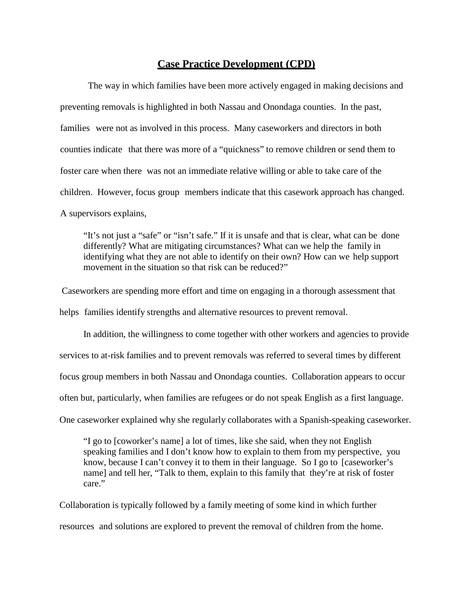## **Case Practice Development (CPD)**

The way in which families have been more actively engaged in making decisions and preventing removals is highlighted in both Nassau and Onondaga counties. In the past, families were not as involved in this process. Many caseworkers and directors in both counties indicate that there was more of a "quickness" to remove children or send them to foster care when there was not an immediate relative willing or able to take care of the children. However, focus group members indicate that this casework approach has changed. A supervisors explains,

"It's not just a "safe" or "isn't safe." If it is unsafe and that is clear, what can be done differently? What are mitigating circumstances? What can we help the family in identifying what they are not able to identify on their own? How can we help support movement in the situation so that risk can be reduced?"

Caseworkers are spending more effort and time on engaging in a thorough assessment that helps families identify strengths and alternative resources to prevent removal.

In addition, the willingness to come together with other workers and agencies to provide services to at-risk families and to prevent removals was referred to several times by different focus group members in both Nassau and Onondaga counties. Collaboration appears to occur often but, particularly, when families are refugees or do not speak English as a first language. One caseworker explained why she regularly collaborates with a Spanish-speaking caseworker.

"I go to [coworker's name] a lot of times, like she said, when they not English speaking families and I don't know how to explain to them from my perspective, you know, because I can't convey it to them in their language. So I go to [caseworker's name] and tell her, "Talk to them, explain to this family that they're at risk of foster care."

Collaboration is typically followed by a family meeting of some kind in which further resources and solutions are explored to prevent the removal of children from the home.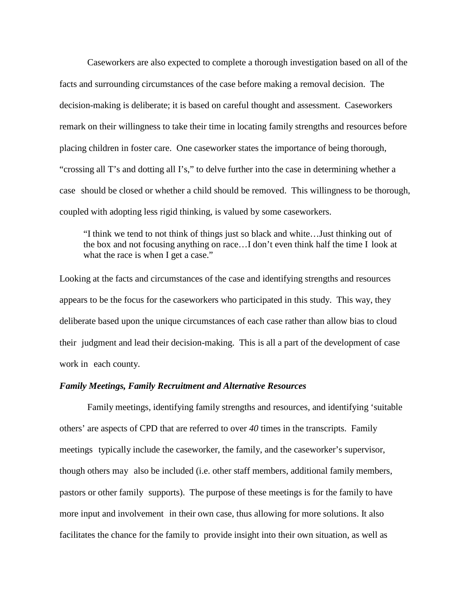Caseworkers are also expected to complete a thorough investigation based on all of the facts and surrounding circumstances of the case before making a removal decision. The decision-making is deliberate; it is based on careful thought and assessment. Caseworkers remark on their willingness to take their time in locating family strengths and resources before placing children in foster care. One caseworker states the importance of being thorough, "crossing all T's and dotting all I's," to delve further into the case in determining whether a case should be closed or whether a child should be removed. This willingness to be thorough, coupled with adopting less rigid thinking, is valued by some caseworkers.

"I think we tend to not think of things just so black and white…Just thinking out of the box and not focusing anything on race…I don't even think half the time I look at what the race is when I get a case."

Looking at the facts and circumstances of the case and identifying strengths and resources appears to be the focus for the caseworkers who participated in this study. This way, they deliberate based upon the unique circumstances of each case rather than allow bias to cloud their judgment and lead their decision-making. This is all a part of the development of case work in each county.

#### *Family Meetings, Family Recruitment and Alternative Resources*

Family meetings, identifying family strengths and resources, and identifying 'suitable others' are aspects of CPD that are referred to over *40* times in the transcripts. Family meetings typically include the caseworker, the family, and the caseworker's supervisor, though others may also be included (i.e. other staff members, additional family members, pastors or other family supports). The purpose of these meetings is for the family to have more input and involvement in their own case, thus allowing for more solutions. It also facilitates the chance for the family to provide insight into their own situation, as well as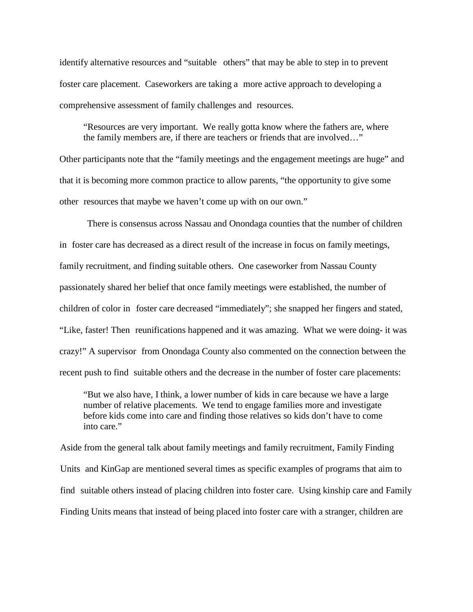identify alternative resources and "suitable others" that may be able to step in to prevent foster care placement. Caseworkers are taking a more active approach to developing a comprehensive assessment of family challenges and resources.

"Resources are very important. We really gotta know where the fathers are, where the family members are, if there are teachers or friends that are involved…"

Other participants note that the "family meetings and the engagement meetings are huge" and that it is becoming more common practice to allow parents, "the opportunity to give some other resources that maybe we haven't come up with on our own."

There is consensus across Nassau and Onondaga counties that the number of children in foster care has decreased as a direct result of the increase in focus on family meetings, family recruitment, and finding suitable others. One caseworker from Nassau County passionately shared her belief that once family meetings were established, the number of children of color in foster care decreased "immediately"; she snapped her fingers and stated, "Like, faster! Then reunifications happened and it was amazing. What we were doing- it was crazy!" A supervisor from Onondaga County also commented on the connection between the recent push to find suitable others and the decrease in the number of foster care placements:

"But we also have, I think, a lower number of kids in care because we have a large number of relative placements. We tend to engage families more and investigate before kids come into care and finding those relatives so kids don't have to come into care."

Aside from the general talk about family meetings and family recruitment, Family Finding Units and KinGap are mentioned several times as specific examples of programs that aim to find suitable others instead of placing children into foster care. Using kinship care and Family Finding Units means that instead of being placed into foster care with a stranger, children are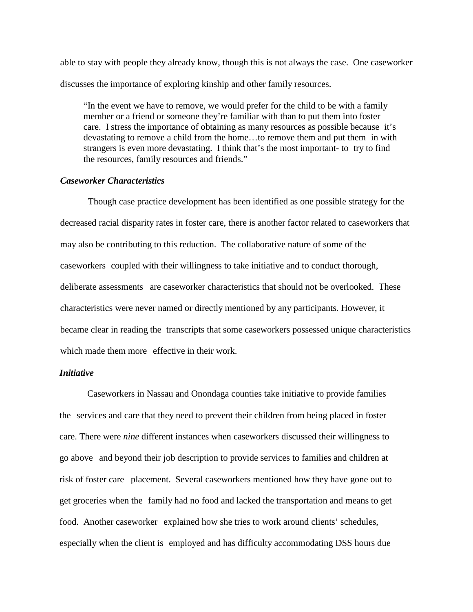able to stay with people they already know, though this is not always the case. One caseworker discusses the importance of exploring kinship and other family resources.

"In the event we have to remove, we would prefer for the child to be with a family member or a friend or someone they're familiar with than to put them into foster care. I stress the importance of obtaining as many resources as possible because it's devastating to remove a child from the home…to remove them and put them in with strangers is even more devastating. I think that's the most important- to try to find the resources, family resources and friends."

#### *Caseworker Characteristics*

Though case practice development has been identified as one possible strategy for the decreased racial disparity rates in foster care, there is another factor related to caseworkers that may also be contributing to this reduction. The collaborative nature of some of the caseworkers coupled with their willingness to take initiative and to conduct thorough, deliberate assessments are caseworker characteristics that should not be overlooked. These characteristics were never named or directly mentioned by any participants. However, it became clear in reading the transcripts that some caseworkers possessed unique characteristics which made them more effective in their work.

#### *Initiative*

Caseworkers in Nassau and Onondaga counties take initiative to provide families the services and care that they need to prevent their children from being placed in foster care. There were *nine* different instances when caseworkers discussed their willingness to go above and beyond their job description to provide services to families and children at risk of foster care placement. Several caseworkers mentioned how they have gone out to get groceries when the family had no food and lacked the transportation and means to get food. Another caseworker explained how she tries to work around clients' schedules, especially when the client is employed and has difficulty accommodating DSS hours due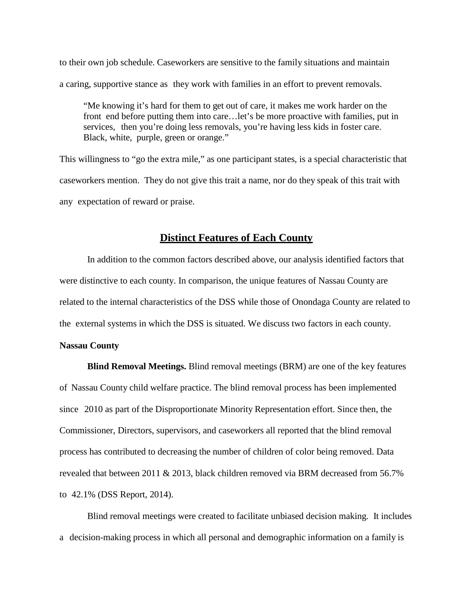to their own job schedule. Caseworkers are sensitive to the family situations and maintain a caring, supportive stance as they work with families in an effort to prevent removals.

"Me knowing it's hard for them to get out of care, it makes me work harder on the front end before putting them into care…let's be more proactive with families, put in services, then you're doing less removals, you're having less kids in foster care. Black, white, purple, green or orange."

This willingness to "go the extra mile," as one participant states, is a special characteristic that caseworkers mention. They do not give this trait a name, nor do they speak of this trait with any expectation of reward or praise.

### **Distinct Features of Each County**

In addition to the common factors described above, our analysis identified factors that were distinctive to each county. In comparison, the unique features of Nassau County are related to the internal characteristics of the DSS while those of Onondaga County are related to the external systems in which the DSS is situated. We discuss two factors in each county.

#### **Nassau County**

**Blind Removal Meetings.** Blind removal meetings (BRM) are one of the key features of Nassau County child welfare practice. The blind removal process has been implemented since 2010 as part of the Disproportionate Minority Representation effort. Since then, the Commissioner, Directors, supervisors, and caseworkers all reported that the blind removal process has contributed to decreasing the number of children of color being removed. Data revealed that between 2011 & 2013, black children removed via BRM decreased from 56.7% to 42.1% (DSS Report, 2014).

Blind removal meetings were created to facilitate unbiased decision making. It includes a decision-making process in which all personal and demographic information on a family is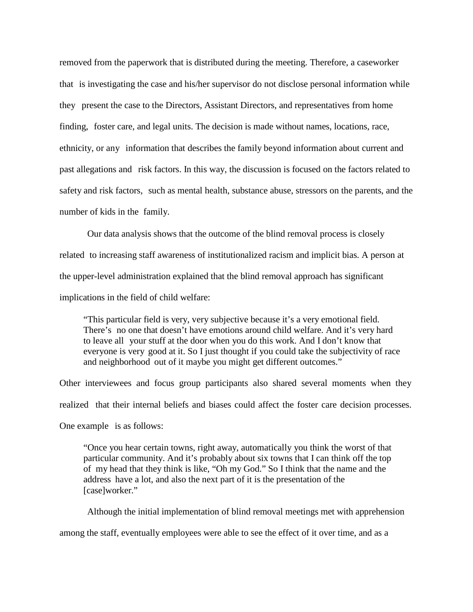removed from the paperwork that is distributed during the meeting. Therefore, a caseworker that is investigating the case and his/her supervisor do not disclose personal information while they present the case to the Directors, Assistant Directors, and representatives from home finding, foster care, and legal units. The decision is made without names, locations, race, ethnicity, or any information that describes the family beyond information about current and past allegations and risk factors. In this way, the discussion is focused on the factors related to safety and risk factors, such as mental health, substance abuse, stressors on the parents, and the number of kids in the family.

Our data analysis shows that the outcome of the blind removal process is closely related to increasing staff awareness of institutionalized racism and implicit bias. A person at the upper-level administration explained that the blind removal approach has significant implications in the field of child welfare:

"This particular field is very, very subjective because it's a very emotional field. There's no one that doesn't have emotions around child welfare. And it's very hard to leave all your stuff at the door when you do this work. And I don't know that everyone is very good at it. So I just thought if you could take the subjectivity of race and neighborhood out of it maybe you might get different outcomes."

Other interviewees and focus group participants also shared several moments when they realized that their internal beliefs and biases could affect the foster care decision processes. One example is as follows:

"Once you hear certain towns, right away, automatically you think the worst of that particular community. And it's probably about six towns that I can think off the top of my head that they think is like, "Oh my God." So I think that the name and the address have a lot, and also the next part of it is the presentation of the [case]worker."

Although the initial implementation of blind removal meetings met with apprehension among the staff, eventually employees were able to see the effect of it over time, and as a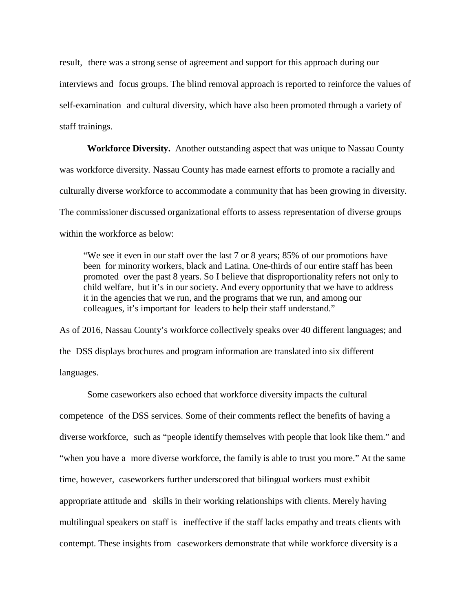result, there was a strong sense of agreement and support for this approach during our interviews and focus groups. The blind removal approach is reported to reinforce the values of self-examination and cultural diversity, which have also been promoted through a variety of staff trainings.

**Workforce Diversity.** Another outstanding aspect that was unique to Nassau County was workforce diversity. Nassau County has made earnest efforts to promote a racially and culturally diverse workforce to accommodate a community that has been growing in diversity. The commissioner discussed organizational efforts to assess representation of diverse groups within the workforce as below:

"We see it even in our staff over the last 7 or 8 years; 85% of our promotions have been for minority workers, black and Latina. One-thirds of our entire staff has been promoted over the past 8 years. So I believe that disproportionality refers not only to child welfare, but it's in our society. And every opportunity that we have to address it in the agencies that we run, and the programs that we run, and among our colleagues, it's important for leaders to help their staff understand."

As of 2016, Nassau County's workforce collectively speaks over 40 different languages; and the DSS displays brochures and program information are translated into six different languages.

Some caseworkers also echoed that workforce diversity impacts the cultural competence of the DSS services. Some of their comments reflect the benefits of having a diverse workforce, such as "people identify themselves with people that look like them." and "when you have a more diverse workforce, the family is able to trust you more." At the same time, however, caseworkers further underscored that bilingual workers must exhibit appropriate attitude and skills in their working relationships with clients. Merely having multilingual speakers on staff is ineffective if the staff lacks empathy and treats clients with contempt. These insights from caseworkers demonstrate that while workforce diversity is a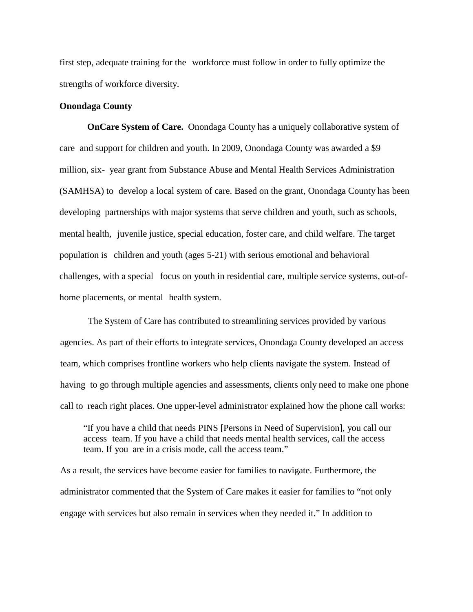first step, adequate training for the workforce must follow in order to fully optimize the strengths of workforce diversity.

#### **Onondaga County**

**OnCare System of Care.** Onondaga County has a uniquely collaborative system of care and support for children and youth. In 2009, Onondaga County was awarded a \$9 million, six- year grant from Substance Abuse and Mental Health Services Administration (SAMHSA) to develop a local system of care. Based on the grant, Onondaga County has been developing partnerships with major systems that serve children and youth, such as schools, mental health, juvenile justice, special education, foster care, and child welfare. The target population is children and youth (ages 5-21) with serious emotional and behavioral challenges, with a special focus on youth in residential care, multiple service systems, out-ofhome placements, or mental health system.

The System of Care has contributed to streamlining services provided by various agencies. As part of their efforts to integrate services, Onondaga County developed an access team, which comprises frontline workers who help clients navigate the system. Instead of having to go through multiple agencies and assessments, clients only need to make one phone call to reach right places. One upper-level administrator explained how the phone call works:

"If you have a child that needs PINS [Persons in Need of Supervision], you call our access team. If you have a child that needs mental health services, call the access team. If you are in a crisis mode, call the access team."

As a result, the services have become easier for families to navigate. Furthermore, the administrator commented that the System of Care makes it easier for families to "not only engage with services but also remain in services when they needed it." In addition to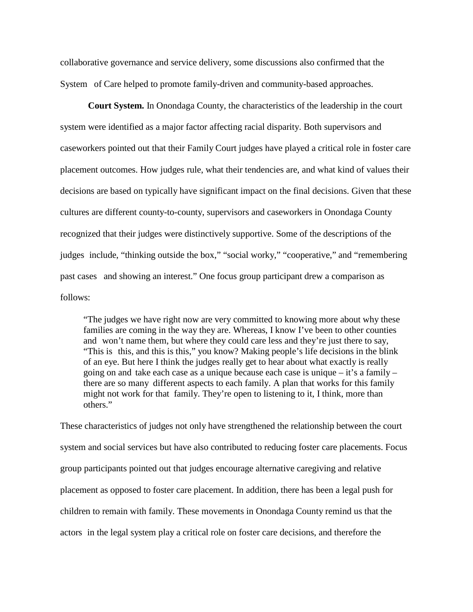collaborative governance and service delivery, some discussions also confirmed that the System of Care helped to promote family-driven and community-based approaches.

**Court System.** In Onondaga County, the characteristics of the leadership in the court system were identified as a major factor affecting racial disparity. Both supervisors and caseworkers pointed out that their Family Court judges have played a critical role in foster care placement outcomes. How judges rule, what their tendencies are, and what kind of values their decisions are based on typically have significant impact on the final decisions. Given that these cultures are different county-to-county, supervisors and caseworkers in Onondaga County recognized that their judges were distinctively supportive. Some of the descriptions of the judges include, "thinking outside the box," "social worky," "cooperative," and "remembering past cases and showing an interest." One focus group participant drew a comparison as follows:

"The judges we have right now are very committed to knowing more about why these families are coming in the way they are. Whereas, I know I've been to other counties and won't name them, but where they could care less and they're just there to say, "This is this, and this is this," you know? Making people's life decisions in the blink of an eye. But here I think the judges really get to hear about what exactly is really going on and take each case as a unique because each case is unique – it's a family – there are so many different aspects to each family. A plan that works for this family might not work for that family. They're open to listening to it, I think, more than others."

These characteristics of judges not only have strengthened the relationship between the court system and social services but have also contributed to reducing foster care placements. Focus group participants pointed out that judges encourage alternative caregiving and relative placement as opposed to foster care placement. In addition, there has been a legal push for children to remain with family. These movements in Onondaga County remind us that the actors in the legal system play a critical role on foster care decisions, and therefore the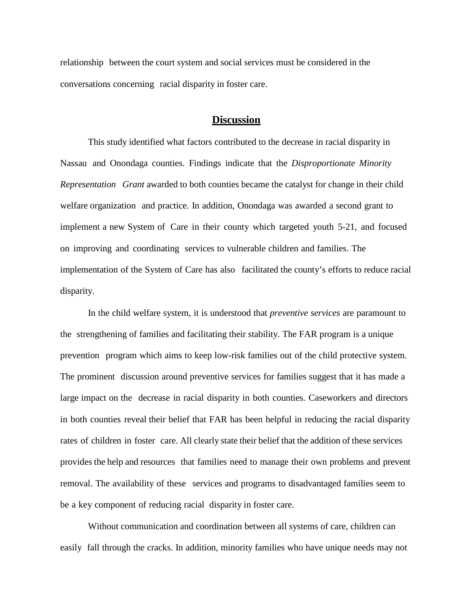relationship between the court system and social services must be considered in the conversations concerning racial disparity in foster care.

## **Discussion**

This study identified what factors contributed to the decrease in racial disparity in Nassau and Onondaga counties. Findings indicate that the *Disproportionate Minority Representation Grant* awarded to both counties became the catalyst for change in their child welfare organization and practice. In addition, Onondaga was awarded a second grant to implement a new System of Care in their county which targeted youth 5-21, and focused on improving and coordinating services to vulnerable children and families. The implementation of the System of Care has also facilitated the county's efforts to reduce racial disparity.

In the child welfare system, it is understood that *preventive services* are paramount to the strengthening of families and facilitating their stability. The FAR program is a unique prevention program which aims to keep low-risk families out of the child protective system. The prominent discussion around preventive services for families suggest that it has made a large impact on the decrease in racial disparity in both counties. Caseworkers and directors in both counties reveal their belief that FAR has been helpful in reducing the racial disparity rates of children in foster care. All clearly state their belief that the addition of these services provides the help and resources that families need to manage their own problems and prevent removal. The availability of these services and programs to disadvantaged families seem to be a key component of reducing racial disparity in foster care.

Without communication and coordination between all systems of care, children can easily fall through the cracks. In addition, minority families who have unique needs may not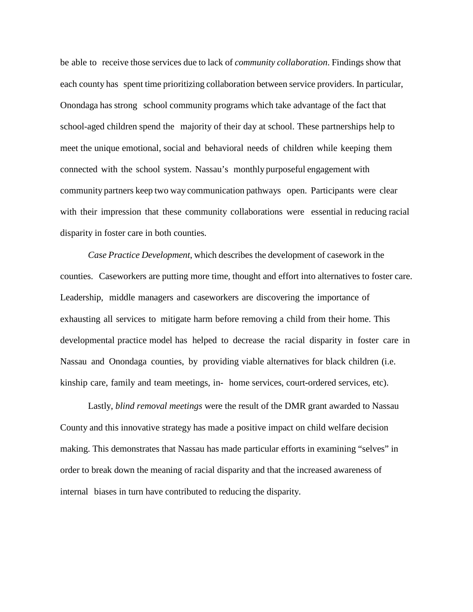be able to receive those services due to lack of *community collaboration*. Findings show that each county has spent time prioritizing collaboration between service providers. In particular, Onondaga has strong school community programs which take advantage of the fact that school-aged children spend the majority of their day at school. These partnerships help to meet the unique emotional, social and behavioral needs of children while keeping them connected with the school system. Nassau's monthly purposeful engagement with community partners keep two way communication pathways open. Participants were clear with their impression that these community collaborations were essential in reducing racial disparity in foster care in both counties.

*Case Practice Development*, which describes the development of casework in the counties. Caseworkers are putting more time, thought and effort into alternatives to foster care. Leadership, middle managers and caseworkers are discovering the importance of exhausting all services to mitigate harm before removing a child from their home. This developmental practice model has helped to decrease the racial disparity in foster care in Nassau and Onondaga counties, by providing viable alternatives for black children (i.e. kinship care, family and team meetings, in- home services, court-ordered services, etc).

Lastly, *blind removal meetings* were the result of the DMR grant awarded to Nassau County and this innovative strategy has made a positive impact on child welfare decision making. This demonstrates that Nassau has made particular efforts in examining "selves" in order to break down the meaning of racial disparity and that the increased awareness of internal biases in turn have contributed to reducing the disparity.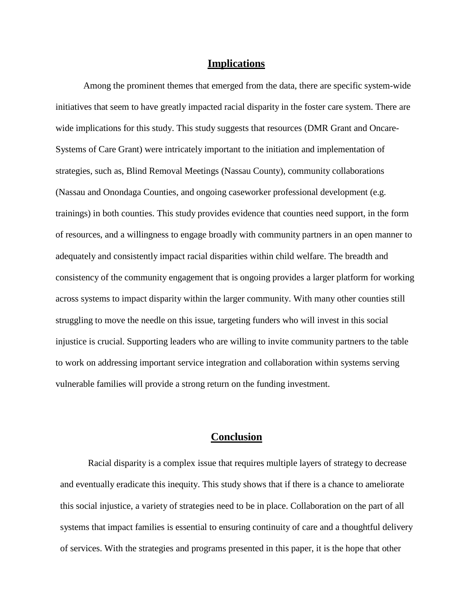#### **Implications**

Among the prominent themes that emerged from the data, there are specific system-wide initiatives that seem to have greatly impacted racial disparity in the foster care system. There are wide implications for this study. This study suggests that resources (DMR Grant and Oncare-Systems of Care Grant) were intricately important to the initiation and implementation of strategies, such as, Blind Removal Meetings (Nassau County), community collaborations (Nassau and Onondaga Counties, and ongoing caseworker professional development (e.g. trainings) in both counties. This study provides evidence that counties need support, in the form of resources, and a willingness to engage broadly with community partners in an open manner to adequately and consistently impact racial disparities within child welfare. The breadth and consistency of the community engagement that is ongoing provides a larger platform for working across systems to impact disparity within the larger community. With many other counties still struggling to move the needle on this issue, targeting funders who will invest in this social injustice is crucial. Supporting leaders who are willing to invite community partners to the table to work on addressing important service integration and collaboration within systems serving vulnerable families will provide a strong return on the funding investment.

## **Conclusion**

Racial disparity is a complex issue that requires multiple layers of strategy to decrease and eventually eradicate this inequity. This study shows that if there is a chance to ameliorate this social injustice, a variety of strategies need to be in place. Collaboration on the part of all systems that impact families is essential to ensuring continuity of care and a thoughtful delivery of services. With the strategies and programs presented in this paper, it is the hope that other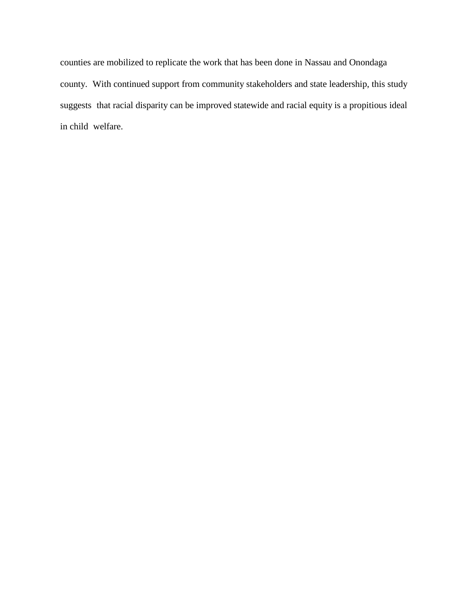counties are mobilized to replicate the work that has been done in Nassau and Onondaga county. With continued support from community stakeholders and state leadership, this study suggests that racial disparity can be improved statewide and racial equity is a propitious ideal in child welfare.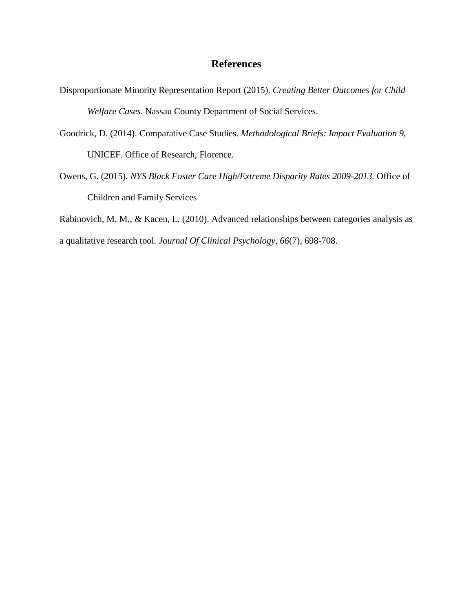## **References**

- Disproportionate Minority Representation Report (2015). *Creating Better Outcomes for Child Welfare Cases.* Nassau County Department of Social Services.
- Goodrick, D. (2014). Comparative Case Studies. *Methodological Briefs: Impact Evaluation 9*, UNICEF. Office of Research, Florence.
- Owens, G. (2015). *NYS Black Foster Care High/Extreme Disparity Rates 2009-2013.* Office of Children and Family Services

Rabinovich, M. M., & Kacen, L. (2010). Advanced relationships between categories analysis as a qualitative research tool. *Journal Of Clinical Psychology*, *66*(7), 698-708.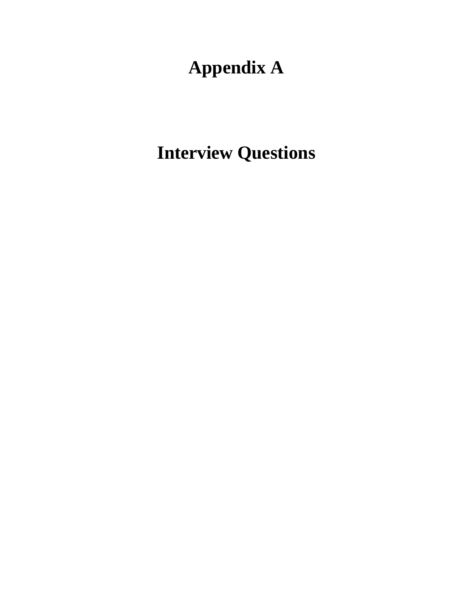# **Appendix A**

**Interview Questions**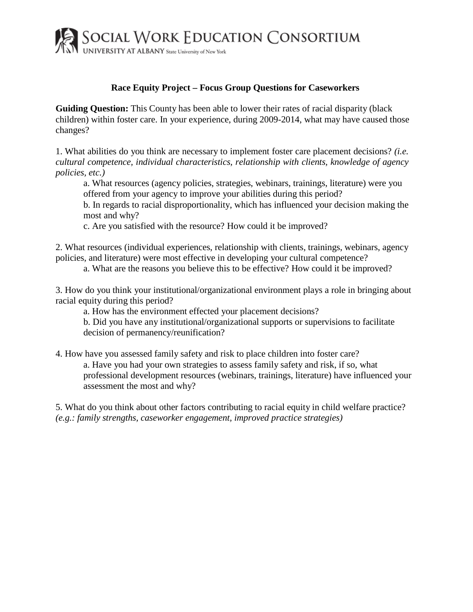

## **Race Equity Project – Focus Group Questions for Caseworkers**

**Guiding Question:** This County has been able to lower their rates of racial disparity (black children) within foster care. In your experience, during 2009-2014, what may have caused those changes?

1. What abilities do you think are necessary to implement foster care placement decisions? *(i.e. cultural competence, individual characteristics, relationship with clients, knowledge of agency policies, etc.)*

a. What resources (agency policies, strategies, webinars, trainings, literature) were you offered from your agency to improve your abilities during this period?

b. In regards to racial disproportionality, which has influenced your decision making the most and why?

c. Are you satisfied with the resource? How could it be improved?

2. What resources (individual experiences, relationship with clients, trainings, webinars, agency policies, and literature) were most effective in developing your cultural competence?

a. What are the reasons you believe this to be effective? How could it be improved?

3. How do you think your institutional/organizational environment plays a role in bringing about racial equity during this period?

a. How has the environment effected your placement decisions?

b. Did you have any institutional/organizational supports or supervisions to facilitate decision of permanency/reunification?

4. How have you assessed family safety and risk to place children into foster care? a. Have you had your own strategies to assess family safety and risk, if so, what professional development resources (webinars, trainings, literature) have influenced your assessment the most and why?

5. What do you think about other factors contributing to racial equity in child welfare practice? *(e.g.: family strengths, caseworker engagement, improved practice strategies)*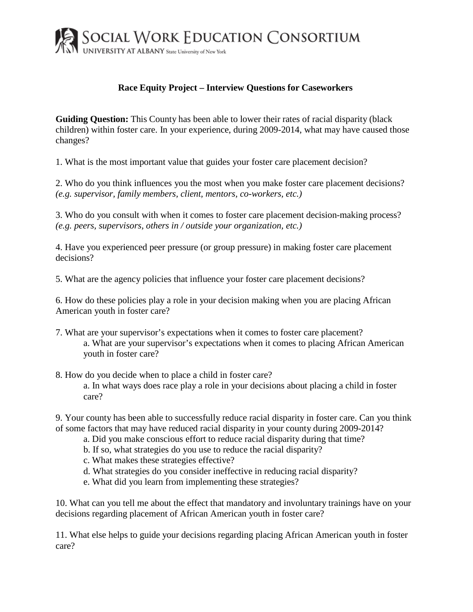

## **Race Equity Project – Interview Questions for Caseworkers**

**Guiding Question:** This County has been able to lower their rates of racial disparity (black children) within foster care. In your experience, during 2009-2014, what may have caused those changes?

1. What is the most important value that guides your foster care placement decision?

2. Who do you think influences you the most when you make foster care placement decisions? *(e.g. supervisor, family members, client, mentors, co-workers, etc.)*

3. Who do you consult with when it comes to foster care placement decision-making process? *(e.g. peers, supervisors, others in / outside your organization, etc.)*

4. Have you experienced peer pressure (or group pressure) in making foster care placement decisions?

5. What are the agency policies that influence your foster care placement decisions?

6. How do these policies play a role in your decision making when you are placing African American youth in foster care?

- 7. What are your supervisor's expectations when it comes to foster care placement? a. What are your supervisor's expectations when it comes to placing African American youth in foster care?
- 8. How do you decide when to place a child in foster care? a. In what ways does race play a role in your decisions about placing a child in foster care?

9. Your county has been able to successfully reduce racial disparity in foster care. Can you think of some factors that may have reduced racial disparity in your county during 2009-2014?

- a. Did you make conscious effort to reduce racial disparity during that time?
- b. If so, what strategies do you use to reduce the racial disparity?
- c. What makes these strategies effective?
- d. What strategies do you consider ineffective in reducing racial disparity?
- e. What did you learn from implementing these strategies?

10. What can you tell me about the effect that mandatory and involuntary trainings have on your decisions regarding placement of African American youth in foster care?

11. What else helps to guide your decisions regarding placing African American youth in foster care?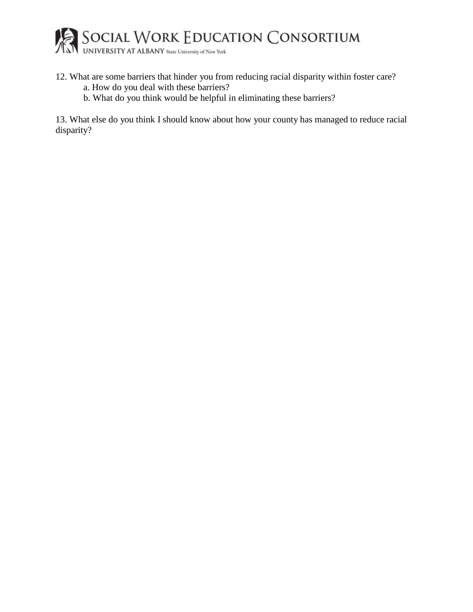

- 12. What are some barriers that hinder you from reducing racial disparity within foster care? a. How do you deal with these barriers?
	- b. What do you think would be helpful in eliminating these barriers?

13. What else do you think I should know about how your county has managed to reduce racial disparity?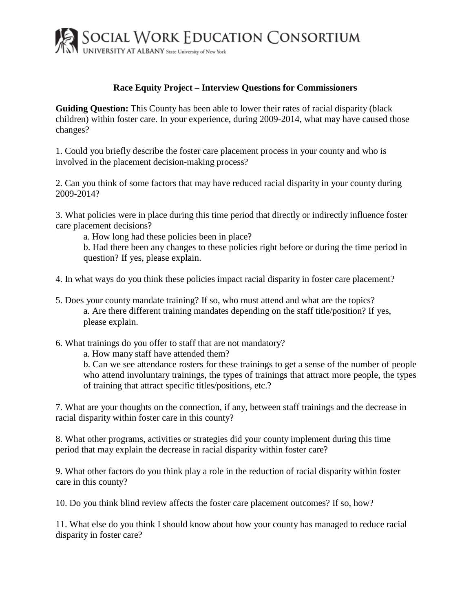

## **Race Equity Project – Interview Questions for Commissioners**

**Guiding Question:** This County has been able to lower their rates of racial disparity (black children) within foster care. In your experience, during 2009-2014, what may have caused those changes?

1. Could you briefly describe the foster care placement process in your county and who is involved in the placement decision-making process?

2. Can you think of some factors that may have reduced racial disparity in your county during 2009-2014?

3. What policies were in place during this time period that directly or indirectly influence foster care placement decisions?

a. How long had these policies been in place?

b. Had there been any changes to these policies right before or during the time period in question? If yes, please explain.

- 4. In what ways do you think these policies impact racial disparity in foster care placement?
- 5. Does your county mandate training? If so, who must attend and what are the topics? a. Are there different training mandates depending on the staff title/position? If yes, please explain.
- 6. What trainings do you offer to staff that are not mandatory?

a. How many staff have attended them?

b. Can we see attendance rosters for these trainings to get a sense of the number of people who attend involuntary trainings, the types of trainings that attract more people, the types of training that attract specific titles/positions, etc.?

7. What are your thoughts on the connection, if any, between staff trainings and the decrease in racial disparity within foster care in this county?

8. What other programs, activities or strategies did your county implement during this time period that may explain the decrease in racial disparity within foster care?

9. What other factors do you think play a role in the reduction of racial disparity within foster care in this county?

10. Do you think blind review affects the foster care placement outcomes? If so, how?

11. What else do you think I should know about how your county has managed to reduce racial disparity in foster care?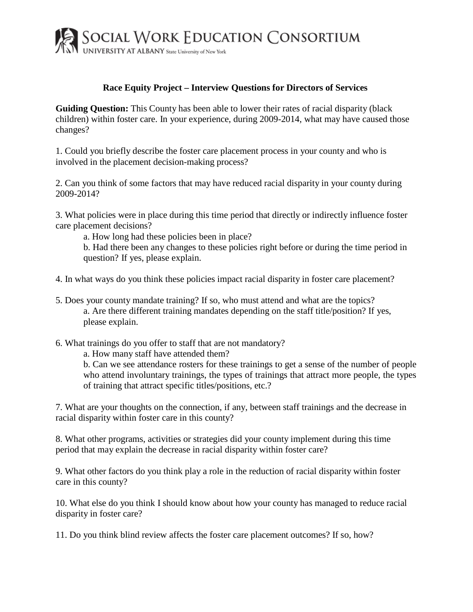

## **Race Equity Project – Interview Questions for Directors of Services**

**Guiding Question:** This County has been able to lower their rates of racial disparity (black children) within foster care. In your experience, during 2009-2014, what may have caused those changes?

1. Could you briefly describe the foster care placement process in your county and who is involved in the placement decision-making process?

2. Can you think of some factors that may have reduced racial disparity in your county during 2009-2014?

3. What policies were in place during this time period that directly or indirectly influence foster care placement decisions?

a. How long had these policies been in place?

b. Had there been any changes to these policies right before or during the time period in question? If yes, please explain.

- 4. In what ways do you think these policies impact racial disparity in foster care placement?
- 5. Does your county mandate training? If so, who must attend and what are the topics? a. Are there different training mandates depending on the staff title/position? If yes, please explain.
- 6. What trainings do you offer to staff that are not mandatory?

a. How many staff have attended them?

b. Can we see attendance rosters for these trainings to get a sense of the number of people who attend involuntary trainings, the types of trainings that attract more people, the types of training that attract specific titles/positions, etc.?

7. What are your thoughts on the connection, if any, between staff trainings and the decrease in racial disparity within foster care in this county?

8. What other programs, activities or strategies did your county implement during this time period that may explain the decrease in racial disparity within foster care?

9. What other factors do you think play a role in the reduction of racial disparity within foster care in this county?

10. What else do you think I should know about how your county has managed to reduce racial disparity in foster care?

11. Do you think blind review affects the foster care placement outcomes? If so, how?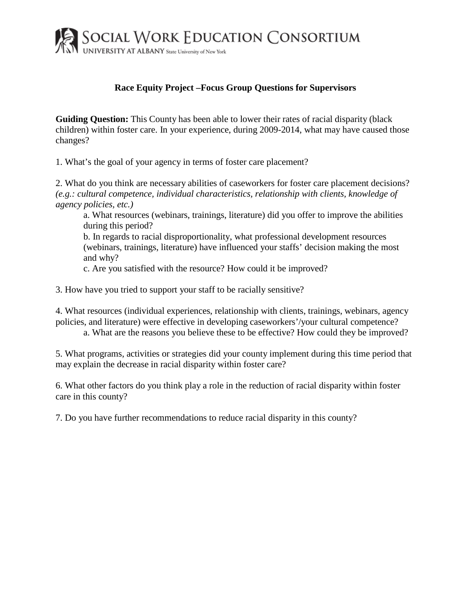

## **Race Equity Project –Focus Group Questions for Supervisors**

**Guiding Question:** This County has been able to lower their rates of racial disparity (black children) within foster care. In your experience, during 2009-2014, what may have caused those changes?

1. What's the goal of your agency in terms of foster care placement?

2. What do you think are necessary abilities of caseworkers for foster care placement decisions? *(e.g.: cultural competence, individual characteristics, relationship with clients, knowledge of agency policies, etc.)*

a. What resources (webinars, trainings, literature) did you offer to improve the abilities during this period?

b. In regards to racial disproportionality, what professional development resources (webinars, trainings, literature) have influenced your staffs' decision making the most and why?

c. Are you satisfied with the resource? How could it be improved?

3. How have you tried to support your staff to be racially sensitive?

4. What resources (individual experiences, relationship with clients, trainings, webinars, agency policies, and literature) were effective in developing caseworkers'/your cultural competence?

a. What are the reasons you believe these to be effective? How could they be improved?

5. What programs, activities or strategies did your county implement during this time period that may explain the decrease in racial disparity within foster care?

6. What other factors do you think play a role in the reduction of racial disparity within foster care in this county?

7. Do you have further recommendations to reduce racial disparity in this county?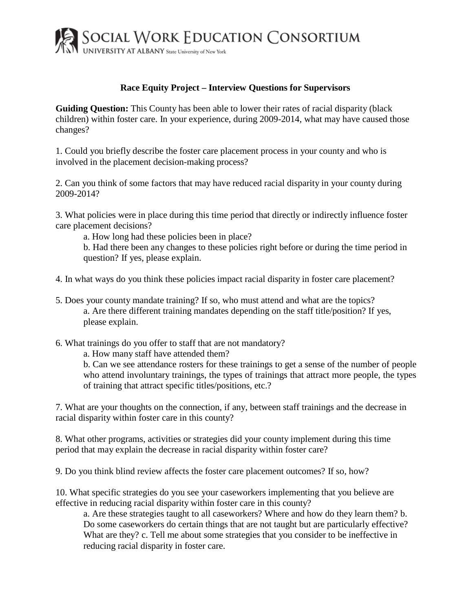

## **Race Equity Project – Interview Questions for Supervisors**

**Guiding Question:** This County has been able to lower their rates of racial disparity (black children) within foster care. In your experience, during 2009-2014, what may have caused those changes?

1. Could you briefly describe the foster care placement process in your county and who is involved in the placement decision-making process?

2. Can you think of some factors that may have reduced racial disparity in your county during 2009-2014?

3. What policies were in place during this time period that directly or indirectly influence foster care placement decisions?

a. How long had these policies been in place?

b. Had there been any changes to these policies right before or during the time period in question? If yes, please explain.

- 4. In what ways do you think these policies impact racial disparity in foster care placement?
- 5. Does your county mandate training? If so, who must attend and what are the topics? a. Are there different training mandates depending on the staff title/position? If yes, please explain.
- 6. What trainings do you offer to staff that are not mandatory?

a. How many staff have attended them?

b. Can we see attendance rosters for these trainings to get a sense of the number of people who attend involuntary trainings, the types of trainings that attract more people, the types of training that attract specific titles/positions, etc.?

7. What are your thoughts on the connection, if any, between staff trainings and the decrease in racial disparity within foster care in this county?

8. What other programs, activities or strategies did your county implement during this time period that may explain the decrease in racial disparity within foster care?

9. Do you think blind review affects the foster care placement outcomes? If so, how?

10. What specific strategies do you see your caseworkers implementing that you believe are effective in reducing racial disparity within foster care in this county?

a. Are these strategies taught to all caseworkers? Where and how do they learn them? b. Do some caseworkers do certain things that are not taught but are particularly effective? What are they? c. Tell me about some strategies that you consider to be ineffective in reducing racial disparity in foster care.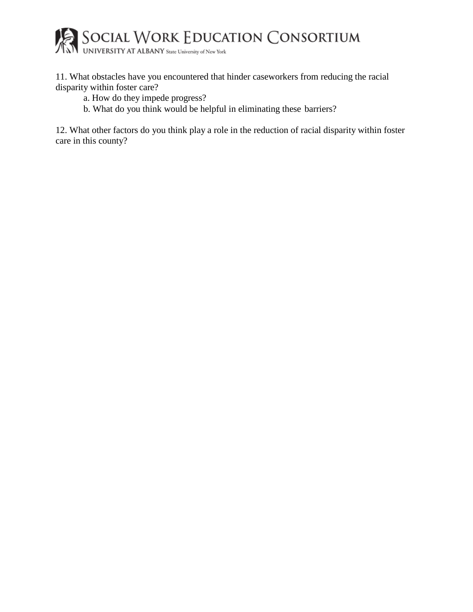

11. What obstacles have you encountered that hinder caseworkers from reducing the racial disparity within foster care?

- a. How do they impede progress?
- b. What do you think would be helpful in eliminating these barriers?

12. What other factors do you think play a role in the reduction of racial disparity within foster care in this county?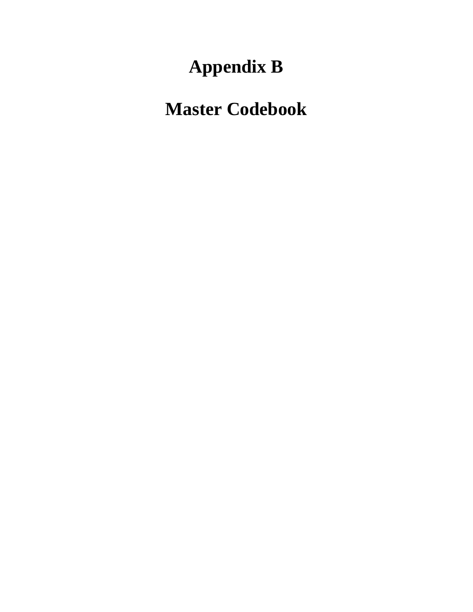# **Appendix B**

## **Master Codebook**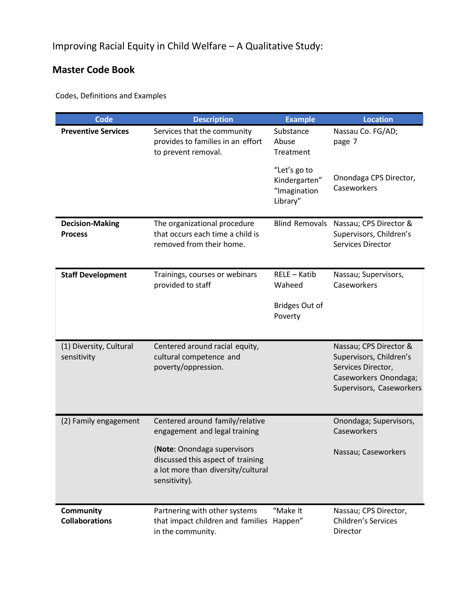## **Master Code Book**

Codes, Definitions and Examples

| <b>Code</b>                               | <b>Description</b>                                                                                                      | <b>Example</b>                                            | <b>Location</b>                                                                                                              |
|-------------------------------------------|-------------------------------------------------------------------------------------------------------------------------|-----------------------------------------------------------|------------------------------------------------------------------------------------------------------------------------------|
| <b>Preventive Services</b>                | Services that the community<br>provides to families in an effort<br>to prevent removal.                                 | Substance<br>Abuse<br>Treatment                           | Nassau Co. FG/AD;<br>page 7                                                                                                  |
|                                           |                                                                                                                         | "Let's go to<br>Kindergarten"<br>"Imagination<br>Library" | Onondaga CPS Director,<br>Caseworkers                                                                                        |
| <b>Decision-Making</b><br><b>Process</b>  | The organizational procedure<br>that occurs each time a child is<br>removed from their home.                            | <b>Blind Removals</b>                                     | Nassau; CPS Director &<br>Supervisors, Children's<br><b>Services Director</b>                                                |
| <b>Staff Development</b>                  | Trainings, courses or webinars<br>provided to staff                                                                     | RELE - Katib<br>Waheed                                    | Nassau; Supervisors,<br>Caseworkers                                                                                          |
|                                           |                                                                                                                         | <b>Bridges Out of</b><br>Poverty                          |                                                                                                                              |
| (1) Diversity, Cultural<br>sensitivity    | Centered around racial equity,<br>cultural competence and<br>poverty/oppression.                                        |                                                           | Nassau; CPS Director &<br>Supervisors, Children's<br>Services Director,<br>Caseworkers Onondaga;<br>Supervisors, Caseworkers |
| (2) Family engagement                     | Centered around family/relative<br>engagement and legal training                                                        |                                                           | Onondaga; Supervisors,<br>Caseworkers                                                                                        |
|                                           | (Note: Onondaga supervisors<br>discussed this aspect of training<br>a lot more than diversity/cultural<br>sensitivity). |                                                           | Nassau; Caseworkers                                                                                                          |
| <b>Community</b><br><b>Collaborations</b> | Partnering with other systems<br>that impact children and families Happen"<br>in the community.                         | "Make It                                                  | Nassau; CPS Director,<br>Children's Services<br><b>Director</b>                                                              |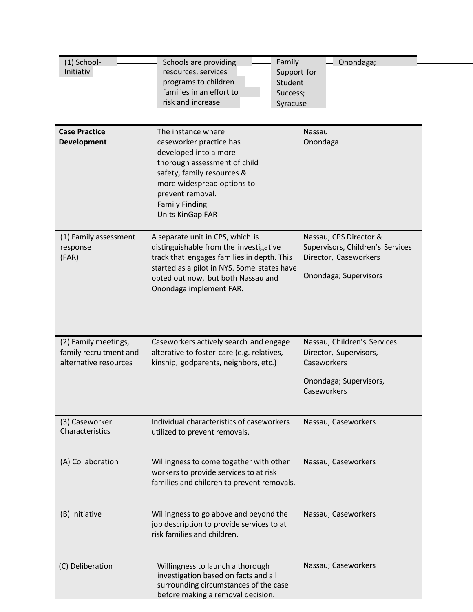| (1) School-<br>Initiativ                                                | Schools are providing<br>resources, services<br>programs to children<br>families in an effort to<br>risk and increase                                                                                                                    | Family<br>Onondaga;<br>Support for<br>Student<br>Success;<br>Syracuse                                         |
|-------------------------------------------------------------------------|------------------------------------------------------------------------------------------------------------------------------------------------------------------------------------------------------------------------------------------|---------------------------------------------------------------------------------------------------------------|
| <b>Case Practice</b><br><b>Development</b>                              | The instance where<br>caseworker practice has<br>developed into a more<br>thorough assessment of child<br>safety, family resources &<br>more widespread options to<br>prevent removal.<br><b>Family Finding</b><br>Units KinGap FAR      | Nassau<br>Onondaga                                                                                            |
| (1) Family assessment<br>response<br>(FAR)                              | A separate unit in CPS, which is<br>distinguishable from the investigative<br>track that engages families in depth. This<br>started as a pilot in NYS. Some states have<br>opted out now, but both Nassau and<br>Onondaga implement FAR. | Nassau; CPS Director &<br>Supervisors, Children's Services<br>Director, Caseworkers<br>Onondaga; Supervisors  |
| (2) Family meetings,<br>family recruitment and<br>alternative resources | Caseworkers actively search and engage<br>alterative to foster care (e.g. relatives,<br>kinship, godparents, neighbors, etc.)                                                                                                            | Nassau; Children's Services<br>Director, Supervisors,<br>Caseworkers<br>Onondaga; Supervisors,<br>Caseworkers |
| (3) Caseworker<br>Characteristics                                       | Individual characteristics of caseworkers<br>utilized to prevent removals.                                                                                                                                                               | Nassau; Caseworkers                                                                                           |
| (A) Collaboration                                                       | Willingness to come together with other<br>workers to provide services to at risk<br>families and children to prevent removals.                                                                                                          | Nassau; Caseworkers                                                                                           |
| (B) Initiative                                                          | Willingness to go above and beyond the<br>job description to provide services to at<br>risk families and children.                                                                                                                       | Nassau; Caseworkers                                                                                           |
| (C) Deliberation                                                        | Willingness to launch a thorough<br>investigation based on facts and all<br>surrounding circumstances of the case<br>before making a removal decision.                                                                                   | Nassau; Caseworkers                                                                                           |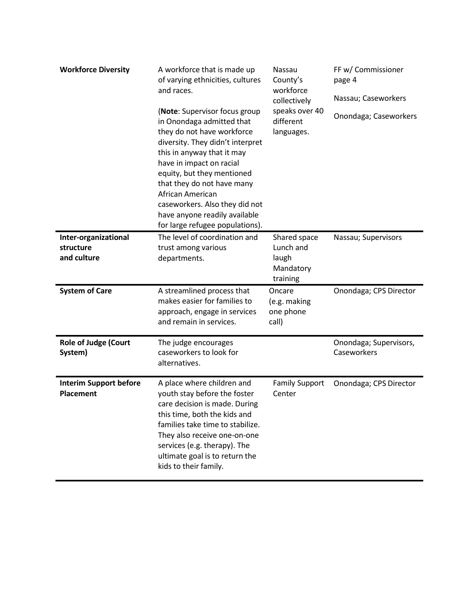| <b>Workforce Diversity</b>                        | A workforce that is made up<br>of varying ethnicities, cultures<br>and races.<br>(Note: Supervisor focus group<br>in Onondaga admitted that<br>they do not have workforce<br>diversity. They didn't interpret<br>this in anyway that it may<br>have in impact on racial<br>equity, but they mentioned<br>that they do not have many<br>African American<br>caseworkers. Also they did not<br>have anyone readily available<br>for large refugee populations). | Nassau<br>County's<br>workforce<br>collectively<br>speaks over 40<br>different<br>languages. | FF w/ Commissioner<br>page 4<br>Nassau; Caseworkers<br>Onondaga; Caseworkers |
|---------------------------------------------------|---------------------------------------------------------------------------------------------------------------------------------------------------------------------------------------------------------------------------------------------------------------------------------------------------------------------------------------------------------------------------------------------------------------------------------------------------------------|----------------------------------------------------------------------------------------------|------------------------------------------------------------------------------|
| Inter-organizational<br>structure<br>and culture  | The level of coordination and<br>trust among various<br>departments.                                                                                                                                                                                                                                                                                                                                                                                          | Shared space<br>Lunch and<br>laugh<br>Mandatory<br>training                                  | Nassau; Supervisors                                                          |
| <b>System of Care</b>                             | A streamlined process that<br>makes easier for families to<br>approach, engage in services<br>and remain in services.                                                                                                                                                                                                                                                                                                                                         | Oncare<br>(e.g. making<br>one phone<br>call)                                                 | Onondaga; CPS Director                                                       |
| <b>Role of Judge (Court</b><br>System)            | The judge encourages<br>caseworkers to look for<br>alternatives.                                                                                                                                                                                                                                                                                                                                                                                              |                                                                                              | Onondaga; Supervisors,<br>Caseworkers                                        |
| <b>Interim Support before</b><br><b>Placement</b> | A place where children and<br>youth stay before the foster<br>care decision is made. During<br>this time, both the kids and<br>families take time to stabilize.<br>They also receive one-on-one<br>services (e.g. therapy). The<br>ultimate goal is to return the<br>kids to their family.                                                                                                                                                                    | <b>Family Support</b><br>Center                                                              | Onondaga; CPS Director                                                       |